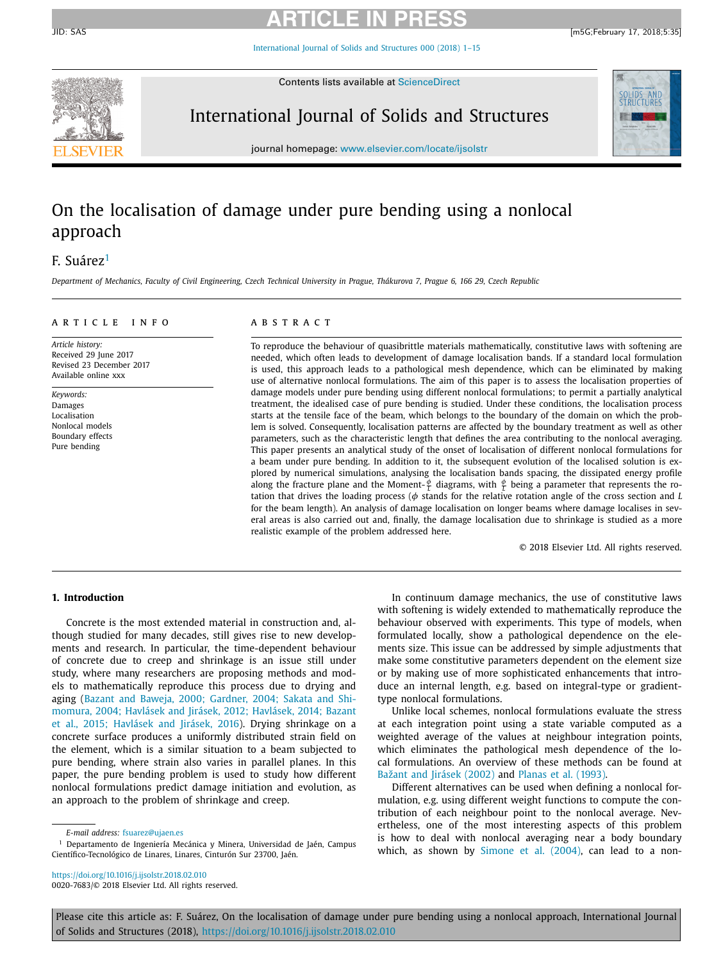## **ARTICLE IN PRESS**

[International](https://doi.org/10.1016/j.ijsolstr.2018.02.010) Journal of Solids and Structures 000 (2018) 1–15

Contents lists available at [ScienceDirect](http://www.ScienceDirect.com)



International Journal of Solids and Structures



journal homepage: [www.elsevier.com/locate/ijsolstr](http://www.elsevier.com/locate/ijsolstr)

## On the localisation of damage under pure bending using a nonlocal approach

### F. Suárez<sup>1</sup>

Department of Mechanics, Faculty of Civil Engineering, Czech Technical University in Prague, Thákurova 7, Prague 6, 166 29, Czech Republic

#### a r t i c l e i n f o

*Article history:* Received 29 June 2017 Revised 23 December 2017 Available online xxx

*Keywords:* Damages Localisation Nonlocal models Boundary effects Pure bending

#### a b s t r a c t

To reproduce the behaviour of quasibrittle materials mathematically, constitutive laws with softening are needed, which often leads to development of damage localisation bands. If a standard local formulation is used, this approach leads to a pathological mesh dependence, which can be eliminated by making use of alternative nonlocal formulations. The aim of this paper is to assess the localisation properties of damage models under pure bending using different nonlocal formulations; to permit a partially analytical treatment, the idealised case of pure bending is studied. Under these conditions, the localisation process starts at the tensile face of the beam, which belongs to the boundary of the domain on which the problem is solved. Consequently, localisation patterns are affected by the boundary treatment as well as other parameters, such as the characteristic length that defines the area contributing to the nonlocal averaging. This paper presents an analytical study of the onset of localisation of different nonlocal formulations for a beam under pure bending. In addition to it, the subsequent evolution of the localised solution is explored by numerical simulations, analysing the localisation bands spacing, the dissipated energy profile along the fracture plane and the Moment- $\frac{\phi}{L}$  diagrams, with  $\frac{\phi}{L}$  being a parameter that represents the rotation that drives the loading process (φ stands for the relative rotation angle of the cross section and *L* for the beam length). An analysis of damage localisation on longer beams where damage localises in several areas is also carried out and, finally, the damage localisation due to shrinkage is studied as a more realistic example of the problem addressed here.

© 2018 Elsevier Ltd. All rights reserved.

#### **1. Introduction**

Concrete is the most extended material in construction and, although studied for many decades, still gives rise to new developments and research. In particular, the time-dependent behaviour of concrete due to creep and shrinkage is an issue still under study, where many researchers are proposing methods and models to mathematically reproduce this process due to drying and aging (Bazant and Baweja, 2000; Gardner, 2004; Sakata and Shimomura, 2004; Havlásek and Jirásek, 2012; Havlásek, 2014; Bazant et al., 2015; Havlásek and Jirásek, 2016). Drying [shrinkage](#page--1-0) on a concrete surface produces a uniformly distributed strain field on the element, which is a similar situation to a beam subjected to pure bending, where strain also varies in parallel planes. In this paper, the pure bending problem is used to study how different nonlocal formulations predict damage initiation and evolution, as an approach to the problem of shrinkage and creep.

*E-mail address:* [fsuarez@ujaen.es](mailto:fsuarez@ujaen.es)

<sup>1</sup> Departamento de Ingeniería Mecánica y Minera, Universidad de Jaén, Campus Científico-Tecnológico de Linares, Linares, Cinturón Sur 23700, Jaén.

In continuum damage mechanics, the use of constitutive laws with softening is widely extended to mathematically reproduce the behaviour observed with experiments. This type of models, when formulated locally, show a pathological dependence on the elements size. This issue can be addressed by simple adjustments that make some constitutive parameters dependent on the element size or by making use of more sophisticated enhancements that introduce an internal length, e.g. based on integral-type or gradienttype nonlocal formulations.

Unlike local schemes, nonlocal formulations evaluate the stress at each integration point using a state variable computed as a weighted average of the values at neighbour integration points, which eliminates the pathological mesh dependence of the local formulations. An overview of these methods can be found at [Bažant](#page--1-0) and Jirásek (2002) and Planas et al. [\(1993\).](#page--1-0)

Different alternatives can be used when defining a nonlocal formulation, e.g. using different weight functions to compute the contribution of each neighbour point to the nonlocal average. Nevertheless, one of the most interesting aspects of this problem is how to deal with nonlocal averaging near a body boundary which, as shown by [Simone](#page--1-0) et al. (2004), can lead to a non-

<https://doi.org/10.1016/j.ijsolstr.2018.02.010> 0020-7683/© 2018 Elsevier Ltd. All rights reserved.

Please cite this article as: F. Suárez, On the localisation of damage under pure bending using a nonlocal approach, International Journal of Solids and Structures (2018), <https://doi.org/10.1016/j.ijsolstr.2018.02.010>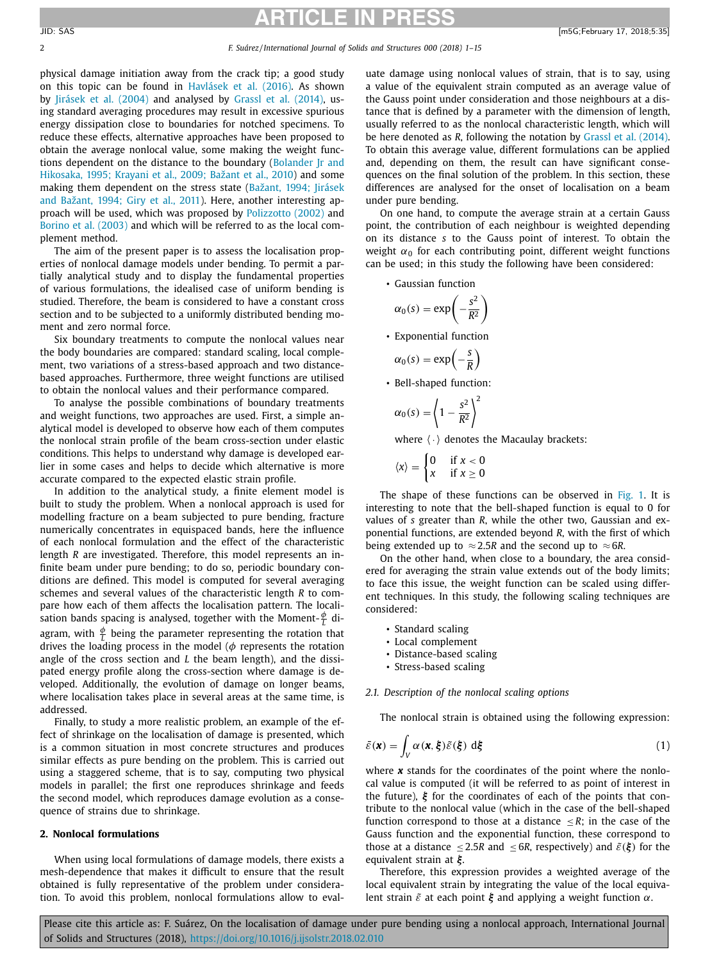physical damage initiation away from the crack tip; a good study on this topic can be found in [Havlásek](#page--1-0) et al. (2016). As shown by Jirásek et al. [\(2004\)](#page--1-0) and analysed by Grassl et al. [\(2014\),](#page--1-0) using standard averaging procedures may result in excessive spurious energy dissipation close to boundaries for notched specimens. To reduce these effects, alternative approaches have been proposed to obtain the average nonlocal value, some making the weight functions [dependent](#page--1-0) on the distance to the boundary (Bolander Jr and Hikosaka, 1995; Krayani et al., 2009; Bažant et al., 2010) and some making them dependent on the stress state (Bažant, 1994; Jirásek and Bažant, 1994; Giry et al., 2011). Here, another [interesting](#page--1-0) approach will be used, which was proposed by [Polizzotto](#page--1-0) (2002) and Borino et al. [\(2003\)](#page--1-0) and which will be referred to as the local complement method.

The aim of the present paper is to assess the localisation properties of nonlocal damage models under bending. To permit a partially analytical study and to display the fundamental properties of various formulations, the idealised case of uniform bending is studied. Therefore, the beam is considered to have a constant cross section and to be subjected to a uniformly distributed bending moment and zero normal force.

Six boundary treatments to compute the nonlocal values near the body boundaries are compared: standard scaling, local complement, two variations of a stress-based approach and two distancebased approaches. Furthermore, three weight functions are utilised to obtain the nonlocal values and their performance compared.

To analyse the possible combinations of boundary treatments and weight functions, two approaches are used. First, a simple analytical model is developed to observe how each of them computes the nonlocal strain profile of the beam cross-section under elastic conditions. This helps to understand why damage is developed earlier in some cases and helps to decide which alternative is more accurate compared to the expected elastic strain profile.

In addition to the analytical study, a finite element model is built to study the problem. When a nonlocal approach is used for modelling fracture on a beam subjected to pure bending, fracture numerically concentrates in equispaced bands, here the influence of each nonlocal formulation and the effect of the characteristic length *R* are investigated. Therefore, this model represents an infinite beam under pure bending; to do so, periodic boundary conditions are defined. This model is computed for several averaging schemes and several values of the characteristic length *R* to compare how each of them affects the localisation pattern. The localisation bands spacing is analysed, together with the Moment- $\frac{\phi}{L}$  diagram, with  $\frac{\phi}{L}$  being the parameter representing the rotation that drives the loading process in the model ( $\phi$  represents the rotation angle of the cross section and *L* the beam length), and the dissipated energy profile along the cross-section where damage is developed. Additionally, the evolution of damage on longer beams, where localisation takes place in several areas at the same time, is addressed.

Finally, to study a more realistic problem, an example of the effect of shrinkage on the localisation of damage is presented, which is a common situation in most concrete structures and produces similar effects as pure bending on the problem. This is carried out using a staggered scheme, that is to say, computing two physical models in parallel; the first one reproduces shrinkage and feeds the second model, which reproduces damage evolution as a consequence of strains due to shrinkage.

#### **2. Nonlocal formulations**

When using local formulations of damage models, there exists a mesh-dependence that makes it difficult to ensure that the result obtained is fully representative of the problem under consideration. To avoid this problem, nonlocal formulations allow to evaluate damage using nonlocal values of strain, that is to say, using a value of the equivalent strain computed as an average value of the Gauss point under consideration and those neighbours at a distance that is defined by a parameter with the dimension of length, usually referred to as the nonlocal characteristic length, which will be here denoted as *R*, following the notation by Grassl et al. [\(2014\).](#page--1-0) To obtain this average value, different formulations can be applied and, depending on them, the result can have significant consequences on the final solution of the problem. In this section, these differences are analysed for the onset of localisation on a beam under pure bending.

On one hand, to compute the average strain at a certain Gauss point, the contribution of each neighbour is weighted depending on its distance *s* to the Gauss point of interest. To obtain the weight  $\alpha_0$  for each contributing point, different weight functions can be used; in this study the following have been considered:

• Gaussian function

$$
\alpha_0(s) = \exp\left(-\frac{s^2}{R^2}\right)
$$
  
• Exponential function

$$
\alpha_0(s) = \exp\left(-\frac{s}{R}\right)
$$

• Bell-shaped function:

$$
\alpha_0(s) = \left(1 - \frac{s^2}{R^2}\right)^2
$$

where  $\langle \cdot \rangle$  denotes the Macaulay brackets:

 $\lambda$ 

$$
\langle x \rangle = \begin{cases} 0 & \text{if } x < 0 \\ x & \text{if } x \ge 0 \end{cases}
$$

The shape of these functions can be observed in [Fig.](#page--1-0) 1. It is interesting to note that the bell-shaped function is equal to 0 for values of *s* greater than *R*, while the other two, Gaussian and exponential functions, are extended beyond *R*, with the first of which being extended up to  $\approx$  2.5*R* and the second up to  $\approx$  6*R*.

On the other hand, when close to a boundary, the area considered for averaging the strain value extends out of the body limits; to face this issue, the weight function can be scaled using different techniques. In this study, the following scaling techniques are considered:

- Standard scaling
- Local complement
- Distance-based scaling
- Stress-based scaling

#### *2.1. Description of the nonlocal scaling options*

The nonlocal strain is obtained using the following expression:

$$
\bar{\varepsilon}(\mathbf{x}) = \int_{V} \alpha(\mathbf{x}, \xi) \tilde{\varepsilon}(\xi) \, \mathrm{d}\xi \tag{1}
$$

where **x** stands for the coordinates of the point where the nonlocal value is computed (it will be referred to as point of interest in the future), *ξ* for the coordinates of each of the points that contribute to the nonlocal value (which in the case of the bell-shaped function correspond to those at a distance  $\leq R$ ; in the case of the Gauss function and the exponential function, these correspond to those at a distance  $\leq$  2.5*R* and  $\leq$  6*R*, respectively) and  $\tilde{\varepsilon}(\xi)$  for the equivalent strain at *ξ*.

Therefore, this expression provides a weighted average of the local equivalent strain by integrating the value of the local equivalent strain  $\tilde{\varepsilon}$  at each point  $\xi$  and applying a weight function  $\alpha$ .

Please cite this article as: F. Suárez, On the localisation of damage under pure bending using a nonlocal approach, International Journal of Solids and Structures (2018), <https://doi.org/10.1016/j.ijsolstr.2018.02.010>